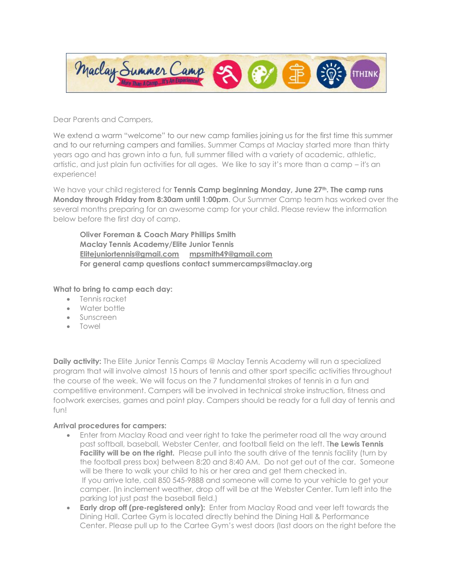

Dear Parents and Campers,

We extend a warm "welcome" to our new camp families joining us for the first time this summer and to our returning campers and families. Summer Camps at Maclay started more than thirty years ago and has grown into a fun, full summer filled with a variety of academic, athletic, artistic, and just plain fun activities for all ages. We like to say it's more than a camp – it's an experience!

We have your child registered for **Tennis Camp beginning Monday, June 27th. The camp runs Monday through Friday from 8:30am until 1:00pm**. Our Summer Camp team has worked over the several months preparing for an awesome camp for your child. Please review the information below before the first day of camp.

**Oliver Foreman & Coach Mary Phillips Smith Maclay Tennis Academy/Elite Junior Tennis [Elitejuniortennis@gmail.com](mailto:Elitejuniortennis@gmail.com) [mpsmith49@gmail.com](mailto:mpsmith49@gmail.com) For general camp questions contact summercamps@maclay.org**

**What to bring to camp each day:**

- Tennis racket
- Water bottle
- Sunscreen
- Towel

**Daily activity:** The Elite Junior Tennis Camps @ Maclay Tennis Academy will run a specialized program that will involve almost 15 hours of tennis and other sport specific activities throughout the course of the week. We will focus on the 7 fundamental strokes of tennis in a fun and competitive environment. Campers will be involved in technical stroke instruction, fitness and footwork exercises, games and point play. Campers should be ready for a full day of tennis and fun!

## **Arrival procedures for campers:**

- Enter from Maclay Road and veer right to take the perimeter road all the way around past softball, baseball, Webster Center, and football field on the left. T**he Lewis Tennis Facility will be on the right.** Please pull into the south drive of the tennis facility (turn by the football press box) between 8:20 and 8:40 AM. Do not get out of the car. Someone will be there to walk your child to his or her area and get them checked in. If you arrive late, call 850 545-9888 and someone will come to your vehicle to get your camper. (In inclement weather, drop off will be at the Webster Center. Turn left into the parking lot just past the baseball field.)
- **Early drop off (pre-registered only):** Enter from Maclay Road and veer left towards the Dining Hall. Cartee Gym is located directly behind the Dining Hall & Performance Center. Please pull up to the Cartee Gym's west doors (last doors on the right before the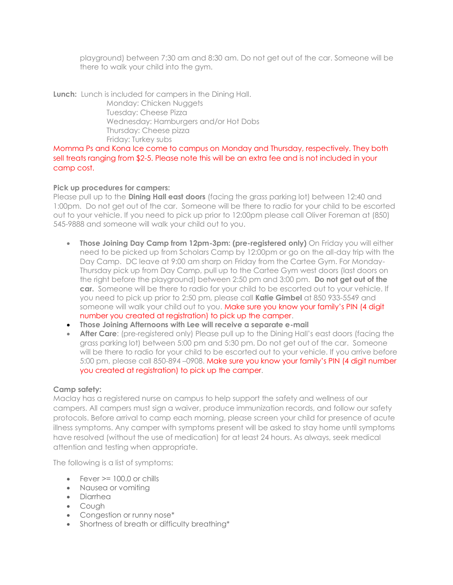playground) between 7:30 am and 8:30 am. Do not get out of the car. Someone will be there to walk your child into the gym.

**Lunch:** Lunch is included for campers in the Dining Hall. Monday: Chicken Nuggets Tuesday: Cheese Pizza Wednesday: Hamburgers and/or Hot Dobs Thursday: Cheese pizza Friday: Turkey subs

Momma Ps and Kona Ice come to campus on Monday and Thursday, respectively. They both sell treats ranging from \$2-5. Please note this will be an extra fee and is not included in your camp cost.

## **Pick up procedures for campers:**

Please pull up to the **Dining Hall east doors** (facing the grass parking lot) between 12:40 and 1:00pm. Do not get out of the car. Someone will be there to radio for your child to be escorted out to your vehicle. If you need to pick up prior to 12:00pm please call Oliver Foreman at (850) 545-9888 and someone will walk your child out to you.

- **Those Joining Day Camp from 12pm-3pm: (pre-registered only)** On Friday you will either need to be picked up from Scholars Camp by 12:00pm or go on the all-day trip with the Day Camp. DC leave at 9:00 am sharp on Friday from the Cartee Gym. For Monday-Thursday pick up from Day Camp, pull up to the Cartee Gym west doors (last doors on the right before the playground) between 2:50 pm and 3:00 pm. **Do not get out of the car.** Someone will be there to radio for your child to be escorted out to your vehicle. If you need to pick up prior to 2:50 pm, please call **Katie Gimbel** at 850 933-5549 and someone will walk your child out to you. Make sure you know your family's PIN (4 digit number you created at registration) to pick up the camper.
- **Those Joining Afternoons with Lee will receive a separate e-mail**
- **After Care**: (pre-registered only) Please pull up to the Dining Hall's east doors (facing the grass parking lot) between 5:00 pm and 5:30 pm. Do not get out of the car. Someone will be there to radio for your child to be escorted out to your vehicle. If you arrive before 5:00 pm, please call 850-894 –0908. Make sure you know your family's PIN (4 digit number you created at registration) to pick up the camper.

## **Camp safety:**

Maclay has a registered nurse on campus to help support the safety and wellness of our campers. All campers must sign a waiver, produce immunization records, and follow our safety protocols. Before arrival to camp each morning, please screen your child for presence of acute illness symptoms. Any camper with symptoms present will be asked to stay home until symptoms have resolved (without the use of medication) for at least 24 hours. As always, seek medical attention and testing when appropriate.

The following is a list of symptoms:

- Fever  $> = 100.0$  or chills
- Nausea or vomiting
- Diarrhea
- Cough
- Congestion or runny nose\*
- Shortness of breath or difficulty breathing\*